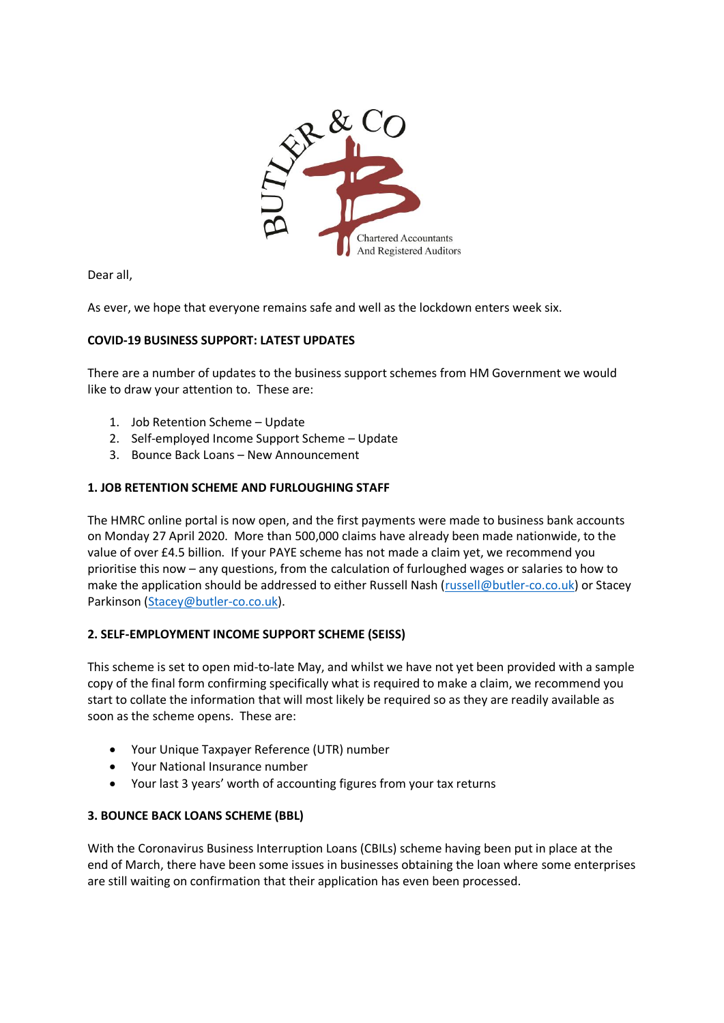

Dear all,

As ever, we hope that everyone remains safe and well as the lockdown enters week six.

## **COVID-19 BUSINESS SUPPORT: LATEST UPDATES**

There are a number of updates to the business support schemes from HM Government we would like to draw your attention to. These are:

- 1. Job Retention Scheme Update
- 2. Self-employed Income Support Scheme Update
- 3. Bounce Back Loans New Announcement

## **1. JOB RETENTION SCHEME AND FURLOUGHING STAFF**

The HMRC online portal is now open, and the first payments were made to business bank accounts on Monday 27 April 2020. More than 500,000 claims have already been made nationwide, to the value of over £4.5 billion. If your PAYE scheme has not made a claim yet, we recommend you prioritise this now – any questions, from the calculation of furloughed wages or salaries to how to make the application should be addressed to either Russell Nash [\(russell@butler-co.co.uk\)](mailto:russell@butler-co.co.uk) or Stacey Parkinson [\(Stacey@butler-co.co.uk\)](mailto:Stacey@butler-co.co.uk).

## **2. SELF-EMPLOYMENT INCOME SUPPORT SCHEME (SEISS)**

This scheme is set to open mid-to-late May, and whilst we have not yet been provided with a sample copy of the final form confirming specifically what is required to make a claim, we recommend you start to collate the information that will most likely be required so as they are readily available as soon as the scheme opens. These are:

- Your Unique Taxpayer Reference (UTR) number
- Your National Insurance number
- Your last 3 years' worth of accounting figures from your tax returns

## **3. BOUNCE BACK LOANS SCHEME (BBL)**

With the Coronavirus Business Interruption Loans (CBILs) scheme having been put in place at the end of March, there have been some issues in businesses obtaining the loan where some enterprises are still waiting on confirmation that their application has even been processed.